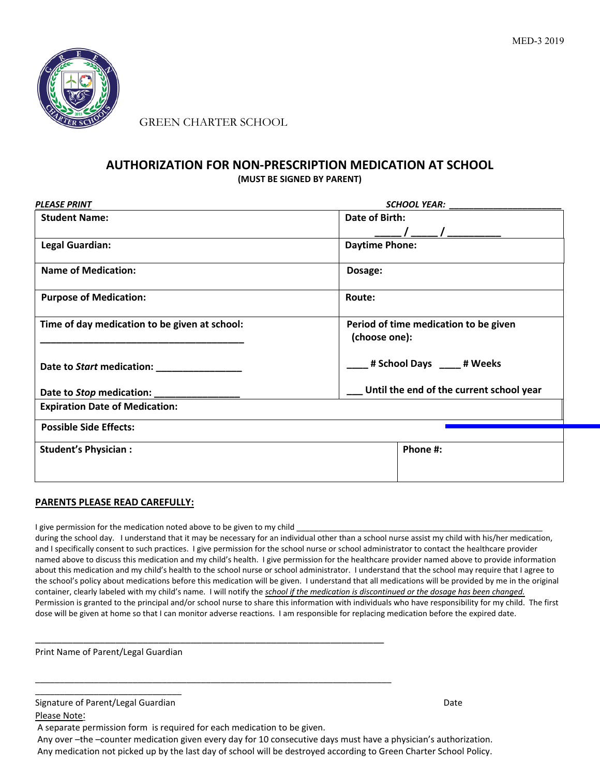

GREEN CHARTER SCHOOL

## **AUTHORIZATION FOR NON-PRESCRIPTION MEDICATION AT SCHOOL (MUST BE SIGNED BY PARENT)**

| <b>PLEASE PRINT</b>                           | SCHOOL YEAR: The contract of the contract of the contract of the contract of the contract of the contract of the contract of the contract of the contract of the contract of the contract of the contract of the contract of t |  |
|-----------------------------------------------|--------------------------------------------------------------------------------------------------------------------------------------------------------------------------------------------------------------------------------|--|
| <b>Student Name:</b>                          | Date of Birth:                                                                                                                                                                                                                 |  |
|                                               |                                                                                                                                                                                                                                |  |
| <b>Legal Guardian:</b>                        | <b>Daytime Phone:</b>                                                                                                                                                                                                          |  |
| <b>Name of Medication:</b>                    | Dosage:                                                                                                                                                                                                                        |  |
| <b>Purpose of Medication:</b>                 | Route:                                                                                                                                                                                                                         |  |
| Time of day medication to be given at school: | Period of time medication to be given<br>(choose one):                                                                                                                                                                         |  |
| Date to Start medication: _______________     | # School Days ____ # Weeks                                                                                                                                                                                                     |  |
| Date to Stop medication:                      | Until the end of the current school year                                                                                                                                                                                       |  |
| <b>Expiration Date of Medication:</b>         |                                                                                                                                                                                                                                |  |
| <b>Possible Side Effects:</b>                 |                                                                                                                                                                                                                                |  |
| <b>Student's Physician:</b>                   | Phone #:                                                                                                                                                                                                                       |  |
|                                               |                                                                                                                                                                                                                                |  |
|                                               |                                                                                                                                                                                                                                |  |

### **PARENTS PLEASE READ CAREFULLY:**

I give permission for the medication noted above to be given to my child

during the school day. I understand that it may be necessary for an individual other than a school nurse assist my child with his/her medication, and I specifically consent to such practices. I give permission for the school nurse or school administrator to contact the healthcare provider named above to discuss this medication and my child's health. I give permission for the healthcare provider named above to provide information about this medication and my child's health to the school nurse or school administrator. I understand that the school may require that I agree to the school's policy about medications before this medication will be given. I understand that all medications will be provided by me in the original container, clearly labeled with my child's name. I will notify the *school if the medication is discontinued or the dosage has been changed.*<br>Permission is granted to the principal and/or school nurse to share this informa dose will be given at home so that I can monitor adverse reactions. I am responsible for replacing medication before the expired date.

Print Name of Parent/Legal Guardian

| Signature of Parent/Legal Guardian                                     | Date |
|------------------------------------------------------------------------|------|
| Please Note:                                                           |      |
| A separate permission form is required for each medication to be given |      |

A separate permission form is required for each medication to be given.

\_\_\_\_\_\_\_\_\_\_\_\_\_\_\_\_\_\_\_\_\_\_\_\_\_\_\_\_\_\_\_\_\_\_\_\_\_\_\_\_\_\_\_\_\_\_\_\_\_\_\_\_\_\_\_\_\_\_\_\_\_\_\_\_\_

 Any over –the –counter medication given every day for 10 consecutive days must have a physician's authorization. Any medication not picked up by the last day of school will be destroyed according to Green Charter School Policy.